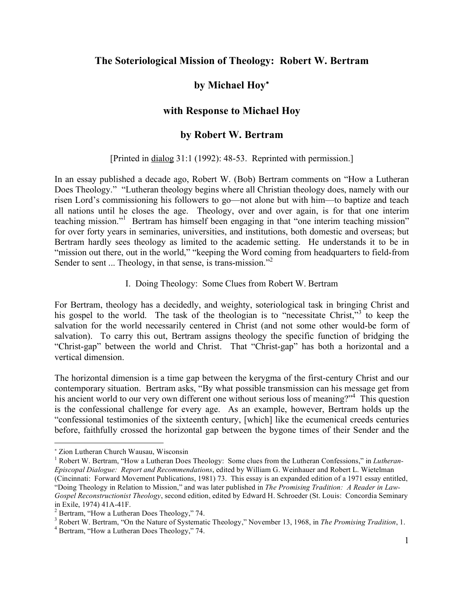## **The Soteriological Mission of Theology: Robert W. Bertram**

# **by Michael Hoy**<sup>∗</sup>

## **with Response to Michael Hoy**

## **by Robert W. Bertram**

#### [Printed in dialog 31:1 (1992): 48-53. Reprinted with permission.]

In an essay published a decade ago, Robert W. (Bob) Bertram comments on "How a Lutheran Does Theology." "Lutheran theology begins where all Christian theology does, namely with our risen Lord's commissioning his followers to go—not alone but with him—to baptize and teach all nations until he closes the age. Theology, over and over again, is for that one interim teaching mission." <sup>1</sup> Bertram has himself been engaging in that "one interim teaching mission" for over forty years in seminaries, universities, and institutions, both domestic and overseas; but Bertram hardly sees theology as limited to the academic setting. He understands it to be in "mission out there, out in the world," "keeping the Word coming from headquarters to field-from Sender to sent ... Theology, in that sense, is trans-mission."<sup>2</sup>

#### I. Doing Theology: Some Clues from Robert W. Bertram

For Bertram, theology has a decidedly, and weighty, soteriological task in bringing Christ and his gospel to the world. The task of the theologian is to "necessitate Christ,"<sup>3</sup> to keep the salvation for the world necessarily centered in Christ (and not some other would-be form of salvation). To carry this out, Bertram assigns theology the specific function of bridging the "Christ-gap" between the world and Christ. That "Christ-gap" has both a horizontal and a vertical dimension.

The horizontal dimension is a time gap between the kerygma of the first-century Christ and our contemporary situation. Bertram asks, "By what possible transmission can his message get from his ancient world to our very own different one without serious loss of meaning?"<sup>4</sup> This question is the confessional challenge for every age. As an example, however, Bertram holds up the "confessional testimonies of the sixteenth century, [which] like the ecumenical creeds centuries before, faithfully crossed the horizontal gap between the bygone times of their Sender and the

 $\overline{a}$ 

<sup>∗</sup> Zion Lutheran Church Wausau, Wisconsin

<sup>1</sup> Robert W. Bertram, "How a Lutheran Does Theology: Some clues from the Lutheran Confessions," in *Lutheran-Episcopal Dialogue: Report and Recommendations*, edited by William G. Weinhauer and Robert L. Wietelman (Cincinnati: Forward Movement Publications, 1981) 73. This essay is an expanded edition of a 1971 essay entitled, "Doing Theology in Relation to Mission," and was later published in *The Promising Tradition: A Reader in Law-Gospel Reconstructionist Theology*, second edition, edited by Edward H. Schroeder (St. Louis: Concordia Seminary in Exile, 1974) 41A-41F.<br>
<sup>2</sup> Bertram, "How a Lutheran Does Theology," 74.<br>
<sup>3</sup> Robert W. Bertram, "On the Nature of Systematic Theology," November 13, 1968, in *The Promising Tradition*, 1.<br>
<sup>4</sup> Bertram, "How a Lutheran D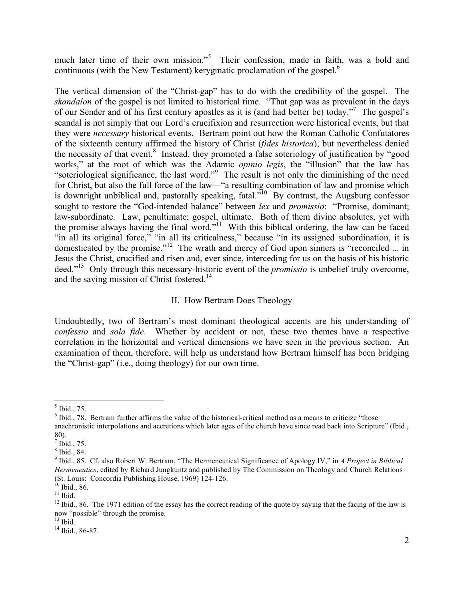much later time of their own mission."<sup>5</sup> Their confession, made in faith, was a bold and continuous (with the New Testament) kerygmatic proclamation of the gospel.<sup>6</sup>

The vertical dimension of the "Christ-gap" has to do with the credibility of the gospel. The *skandalon* of the gospel is not limited to historical time. "That gap was as prevalent in the days of our Sender and of his first century apostles as it is (and had better be) today."<sup>7</sup> The gospel's scandal is not simply that our Lord's crucifixion and resurrection were historical events, but that they were *necessary* historical events. Bertram point out how the Roman Catholic Confutatores of the sixteenth century affirmed the history of Christ (*fides historica*), but nevertheless denied the necessity of that event. <sup>8</sup> Instead, they promoted a false soteriology of justification by "good works," at the root of which was the Adamic *opinio legis*, the "illusion" that the law has "soteriological significance, the last word."<sup>9</sup> The result is not only the diminishing of the need for Christ, but also the full force of the law—"a resulting combination of law and promise which is downright unbiblical and, pastorally speaking, fatal. $10^1$  By contrast, the Augsburg confessor sought to restore the "God-intended balance" between *lex* and *promissio*: "Promise, dominant; law-subordinate. Law, penultimate; gospel, ultimate. Both of them divine absolutes, yet with the promise always having the final word."<sup>11</sup> With this biblical ordering, the law can be faced "in all its original force," "in all its criticalness," because "in its assigned subordination, it is domesticated by the promise."<sup>12</sup> The wrath and mercy of God upon sinners is "reconciled ... in Jesus the Christ, crucified and risen and, ever since, interceding for us on the basis of his historic deed." <sup>13</sup> Only through this necessary-historic event of the *promissio* is unbelief truly overcome, and the saving mission of Christ fostered.<sup>14</sup>

#### II. How Bertram Does Theology

Undoubtedly, two of Bertram's most dominant theological accents are his understanding of *confessio* and *sola fide*. Whether by accident or not, these two themes have a respective correlation in the horizontal and vertical dimensions we have seen in the previous section. An examination of them, therefore, will help us understand how Bertram himself has been bridging the "Christ-gap" (i.e., doing theology) for our own time.

<sup>&</sup>lt;sup>5</sup> Ibid., 75. <br><sup>6</sup> Ibid., 78. Bertram further affirms the value of the historical-critical method as a means to criticize "those anachronistic interpolations and accretions which later ages of the church have since read back into Scripture" (Ibid.,

<sup>80).&</sup>lt;br><sup>7</sup> Ibid., 75.<br><sup>8</sup> Ibid., 84. <br><sup>9</sup> Ibid., 85. Cf. also Robert W. Bertram, "The Hermeneutical Significance of Apology IV," in *A Project in Biblical Hermeneutics*, edited by Richard Jungkuntz and published by The Commission on Theology and Church Relations (St. Louis: Concordia Publishing House, 1969) 124-126.

<sup>&</sup>lt;sup>10</sup> Ibid., 86.<br><sup>11</sup> Ibid. 86. The 1971 edition of the essay has the correct reading of the quote by saying that the facing of the law is now "possible" through the promise.<br><sup>13</sup> Ibid., 86-87.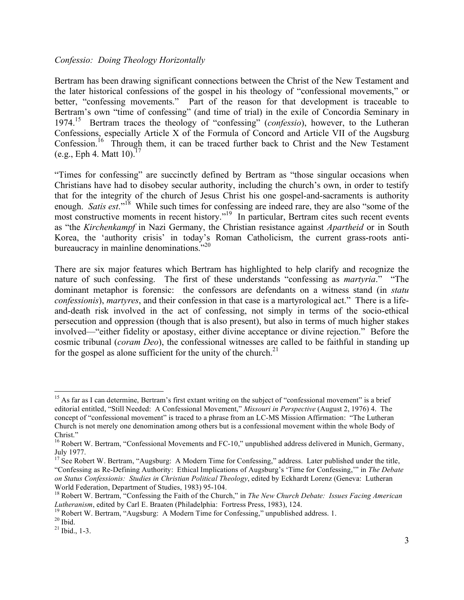#### *Confessio: Doing Theology Horizontally*

Bertram has been drawing significant connections between the Christ of the New Testament and the later historical confessions of the gospel in his theology of "confessional movements," or better, "confessing movements." Part of the reason for that development is traceable to Bertram's own "time of confessing" (and time of trial) in the exile of Concordia Seminary in 1974.15 Bertram traces the theology of "confessing" (*confessio*), however, to the Lutheran Confessions, especially Article X of the Formula of Concord and Article VII of the Augsburg Confession.<sup>16</sup> Through them, it can be traced further back to Christ and the New Testament  $(e.g., Eph 4. Matt 10).<sup>17</sup>$ 

"Times for confessing" are succinctly defined by Bertram as "those singular occasions when Christians have had to disobey secular authority, including the church's own, in order to testify that for the integrity of the church of Jesus Christ his one gospel-and-sacraments is authority enough. *Satis est*."<sup>18</sup> While such times for confessing are indeed rare, they are also "some of the most constructive moments in recent history." <sup>19</sup> In particular, Bertram cites such recent events as "the *Kirchenkampf* in Nazi Germany, the Christian resistance against *Apartheid* or in South Korea, the 'authority crisis' in today's Roman Catholicism, the current grass-roots antibureaucracy in mainline denominations."<sup>20</sup>

There are six major features which Bertram has highlighted to help clarify and recognize the nature of such confessing. The first of these understands "confessing as *martyria*." "The dominant metaphor is forensic: the confessors are defendants on a witness stand (in *statu confessionis*), *martyres*, and their confession in that case is a martyrological act." There is a lifeand-death risk involved in the act of confessing, not simply in terms of the socio-ethical persecution and oppression (though that is also present), but also in terms of much higher stakes involved—"either fidelity or apostasy, either divine acceptance or divine rejection." Before the cosmic tribunal (*coram Deo*), the confessional witnesses are called to be faithful in standing up for the gospel as alone sufficient for the unity of the church.<sup>21</sup>

<sup>&</sup>lt;sup>15</sup> As far as I can determine, Bertram's first extant writing on the subject of "confessional movement" is a brief editorial entitled, "Still Needed: A Confessional Movement," *Missouri in Perspective* (August 2, 1976) 4. The concept of "confessional movement" is traced to a phrase from an LC-MS Mission Affirmation: "The Lutheran Church is not merely one denomination among others but is a confessional movement within the whole Body of

 $^{16}$  Robert W. Bertram, "Confessional Movements and FC-10," unpublished address delivered in Munich, Germany, July 1977.

 $17$  See Robert W. Bertram, "Augsburg: A Modern Time for Confessing," address. Later published under the title, "Confessing as Re-Defining Authority: Ethical Implications of Augsburg's 'Time for Confessing,'" in *The Debate on Status Confessionis: Studies in Christian Political Theology*, edited by Eckhardt Lorenz (Geneva: Lutheran

World Federation, Department of Studies, 1983) 95-104.<br><sup>18</sup> Robert W. Bertram, "Confessing the Faith of the Church," in *The New Church Debate: Issues Facing American*<br>*Lutheranism*, edited by Carl E. Braaten (Philadelphia

<sup>&</sup>lt;sup>19</sup> Robert W. Bertram, "Augsburg: A Modern Time for Confessing," unpublished address. 1.<br><sup>20</sup> Ibid. <sup>21</sup> Ibid., 1-3.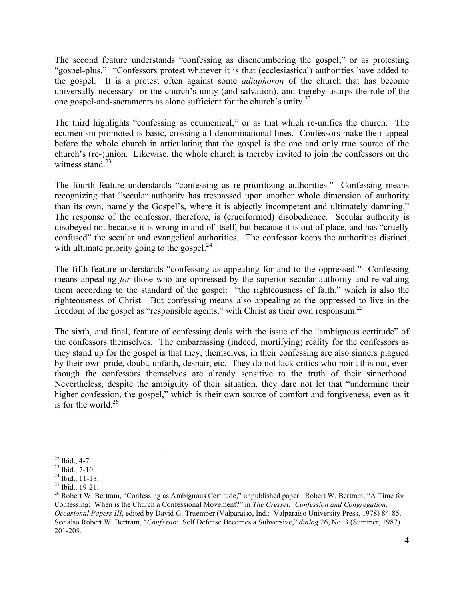The second feature understands "confessing as disencumbering the gospel," or as protesting "gospel-plus." "Confessors protest whatever it is that (ecclesiastical) authorities have added to the gospel. It is a protest often against some *adiaphoron* of the church that has become universally necessary for the church's unity (and salvation), and thereby usurps the role of the one gospel-and-sacraments as alone sufficient for the church's unity.<sup>22</sup>

The third highlights "confessing as ecumenical," or as that which re-unifies the church. The ecumenism promoted is basic, crossing all denominational lines. Confessors make their appeal before the whole church in articulating that the gospel is the one and only true source of the church's (re-)union. Likewise, the whole church is thereby invited to join the confessors on the witness stand. $23$ 

The fourth feature understands "confessing as re-prioritizing authorities." Confessing means recognizing that "secular authority has trespassed upon another whole dimension of authority than its own, namely the Gospel's, where it is abjectly incompetent and ultimately damning." The response of the confessor, therefore, is (cruciformed) disobedience. Secular authority is disobeyed not because it is wrong in and of itself, but because it is out of place, and has "cruelly confused" the secular and evangelical authorities. The confessor keeps the authorities distinct, with ultimate priority going to the gospel.<sup>24</sup>

The fifth feature understands "confessing as appealing for and to the oppressed." Confessing means appealing *for* those who are oppressed by the superior secular authority and re-valuing them according to the standard of the gospel: "the righteousness of faith," which is also the righteousness of Christ. But confessing means also appealing *to* the oppressed to live in the freedom of the gospel as "responsible agents," with Christ as their own responsum.<sup>25</sup>

The sixth, and final, feature of confessing deals with the issue of the "ambiguous certitude" of the confessors themselves. The embarrassing (indeed, mortifying) reality for the confessors as they stand up for the gospel is that they, themselves, in their confessing are also sinners plagued by their own pride, doubt, unfaith, despair, etc. They do not lack critics who point this out, even though the confessors themselves are already sensitive to the truth of their sinnerhood. Nevertheless, despite the ambiguity of their situation, they dare not let that "undermine their higher confession, the gospel," which is their own source of comfort and forgiveness, even as it is for the world. $26$ 

<sup>&</sup>lt;sup>22</sup> Ibid., 4-7.<br><sup>23</sup> Ibid., 7-10.<br><sup>24</sup> Ibid., 11-18.<br><sup>25</sup> Ibid., 19-21.<br><sup>26</sup> Robert W. Bertram, "Confessing as Ambiguous Certitude," unpublished paper: Robert W. Bertram, "A Time for Confessing: When is the Church a Confessional Movement?" in *The Cresset: Confession and Congregation, Occasional Papers III*, edited by David G. Truemper (Valparaiso, Ind.: Valparaiso University Press, 1978) 84-85. See also Robert W. Bertram, "*Confessio*: Self Defense Becomes a Subversive," *dialog* 26, No. 3 (Summer, 1987) 201-208.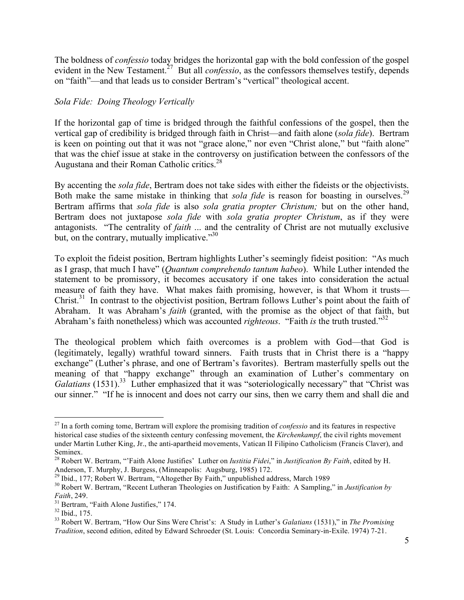The boldness of *confessio* today bridges the horizontal gap with the bold confession of the gospel evident in the New Testament.<sup>27</sup> But all *confessio*, as the confessors themselves testify, depends on "faith"—and that leads us to consider Bertram's "vertical" theological accent.

### *Sola Fide: Doing Theology Vertically*

If the horizontal gap of time is bridged through the faithful confessions of the gospel, then the vertical gap of credibility is bridged through faith in Christ—and faith alone (*sola fide*). Bertram is keen on pointing out that it was not "grace alone," nor even "Christ alone," but "faith alone" that was the chief issue at stake in the controversy on justification between the confessors of the Augustana and their Roman Catholic critics.<sup>28</sup>

By accenting the *sola fide*, Bertram does not take sides with either the fideists or the objectivists. Both make the same mistake in thinking that *sola fide* is reason for boasting in ourselves.<sup>29</sup> Bertram affirms that *sola fide* is also *sola gratia propter Christum;* but on the other hand, Bertram does not juxtapose *sola fide* with *sola gratia propter Christum*, as if they were antagonists. "The centrality of *faith* ... and the centrality of Christ are not mutually exclusive but, on the contrary, mutually implicative."30

To exploit the fideist position, Bertram highlights Luther's seemingly fideist position: "As much as I grasp, that much I have" (*Quantum comprehendo tantum habeo*). While Luther intended the statement to be promissory, it becomes accusatory if one takes into consideration the actual measure of faith they have. What makes faith promising, however, is that Whom it trusts— Christ.<sup>31</sup> In contrast to the objectivist position, Bertram follows Luther's point about the faith of Abraham. It was Abraham's *faith* (granted, with the promise as the object of that faith, but Abraham's faith nonetheless) which was accounted *righteous*. "Faith *is* the truth trusted."<sup>32</sup>

The theological problem which faith overcomes is a problem with God—that God is (legitimately, legally) wrathful toward sinners. Faith trusts that in Christ there is a "happy exchange" (Luther's phrase, and one of Bertram's favorites). Bertram masterfully spells out the meaning of that "happy exchange" through an examination of Luther's commentary on Galatians (1531).<sup>33</sup> Luther emphasized that it was "soteriologically necessary" that "Christ was our sinner." "If he is innocent and does not carry our sins, then we carry them and shall die and

 <sup>27</sup> In <sup>a</sup> forth coming tome, Bertram will explore the promising tradition of *confessio* and its features in respective historical case studies of the sixteenth century confessing movement, the *Kirchenkampf*, the civil rights movement under Martin Luther King, Jr., the anti-apartheid movements, Vatican II Filipino Catholicism (Francis Claver), and Seminex. <sup>28</sup> Robert W. Bertram, "'Faith Alone Justifies' Luther on *Iustitia Fidei*," in *Justification By Faith*, edited by H.

Anderson, T. Murphy, J. Burgess, (Minneapolis: Augsburg, 1985) 172.<br><sup>29</sup> Ibid., 177; Robert W. Bertram, "Altogether By Faith," unpublished address, March 1989<br><sup>30</sup> Robert W. Bertram, "Recent Lutheran Theologies on Justific

*Faith*, 249.<br><sup>31</sup> Bertram, "Faith Alone Justifies," 174.<br><sup>32</sup> Ibid., 175.<br><sup>33</sup> Robert W. Bertram, "How Our Sins Were Christ's: A Study in Luther's *Galatians* (1531)," in *The Promising* 

*Tradition*, second edition, edited by Edward Schroeder (St. Louis: Concordia Seminary-in-Exile. 1974) 7-21.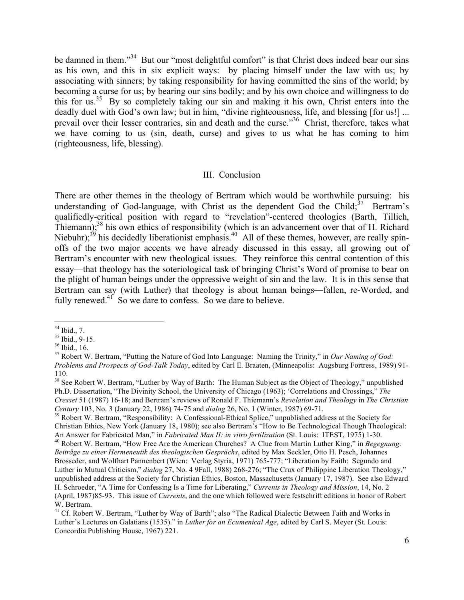be damned in them."<sup>34</sup> But our "most delightful comfort" is that Christ does indeed bear our sins as his own, and this in six explicit ways: by placing himself under the law with us; by associating with sinners; by taking responsibility for having committed the sins of the world; by becoming a curse for us; by bearing our sins bodily; and by his own choice and willingness to do this for us.<sup>35</sup> By so completely taking our sin and making it his own, Christ enters into the deadly duel with God's own law; but in him, "divine righteousness, life, and blessing [for us!] ... prevail over their lesser contraries, sin and death and the curse."<sup>36</sup> Christ, therefore, takes what we have coming to us (sin, death, curse) and gives to us what he has coming to him (righteousness, life, blessing).

#### III. Conclusion

There are other themes in the theology of Bertram which would be worthwhile pursuing: his understanding of God-language, with Christ as the dependent God the Child; $37$  Bertram's qualifiedly-critical position with regard to "revelation"-centered theologies (Barth, Tillich, Thiemann);<sup>38</sup> his own ethics of responsibility (which is an advancement over that of H. Richard Niebuhr);  $39$  his decidedly liberationist emphasis.  $40$  All of these themes, however, are really spinoffs of the two major accents we have already discussed in this essay, all growing out of Bertram's encounter with new theological issues. They reinforce this central contention of this essay—that theology has the soteriological task of bringing Christ's Word of promise to bear on the plight of human beings under the oppressive weight of sin and the law. It is in this sense that Bertram can say (with Luther) that theology is about human beings—fallen, re-Worded, and fully renewed.<sup>41</sup> So we dare to confess. So we dare to believe.

<sup>&</sup>lt;sup>34</sup> Ibid., 7.<br><sup>35</sup> Ibid., 9-15.<br><sup>36</sup> Ibid., 16.<br><sup>37</sup> Robert W. Bertram, "Putting the Nature of God Into Language: Naming the Trinity," in *Our Naming of God: Problems and Prospects of God-Talk Today*, edited by Carl E. Braaten, (Minneapolis: Augsburg Fortress, 1989) 91- 110.<br><sup>38</sup> See Robert W. Bertram, "Luther by Way of Barth: The Human Subject as the Object of Theology," unpublished

Ph.D. Dissertation, "The Divinity School, the University of Chicago (1963); 'Correlations and Crossings," *The Cresset* 51 (1987) 16-18; and Bertram's reviews of Ronald F. Thiemann's *Revelation and Theology* in *The Christian*

<sup>&</sup>lt;sup>39</sup> Robert W. Bertram, "Responsibility: A Confessional-Ethical Splice," unpublished address at the Society for Christian Ethics, New York (January 18, 1980); see also Bertram's "How to Be Technological Though Theological: An Answer for Fabricated Man," in *Fabricated Man II: in vitro fertilization* (St. Louis: ITEST, 1975) 1-30. <sup>40</sup> Robert W. Bertram, "How Free Are the American Churches? A Clue from Martin Luther King," in Begegnung: *Beiträge zu einer Hermeneutik des theologischen Gesprächs*, edited by Max Seckler, Otto H. Pesch, Johannes Brosseder, and Wolfhart Pannenbert (Wien: Verlag Styria, 1971) 765-777; "Liberation by Faith: Segundo and Luther in Mutual Criticism," *dialog* 27, No. 4 9Fall, 1988) 268-276; "The Crux of Philippine Liberation Theology," unpublished address at the Society for Christian Ethics, Boston, Massachusetts (January 17, 1987). See also Edward

H. Schroeder, "A Time for Confessing Is a Time for Liberating," *Currents in Theology and Mission*, 14, No. 2 (April, 1987)85-93. This issue of *Currents*, and the one which followed were festschrift editions in honor of Robert W. Bertram.<br><sup>41</sup> Cf. Robert W. Bertram, "Luther by Way of Barth"; also "The Radical Dialectic Between Faith and Works in

Luther's Lectures on Galatians (1535)." in *Luther for an Ecumenical Age*, edited by Carl S. Meyer (St. Louis: Concordia Publishing House, 1967) 221.